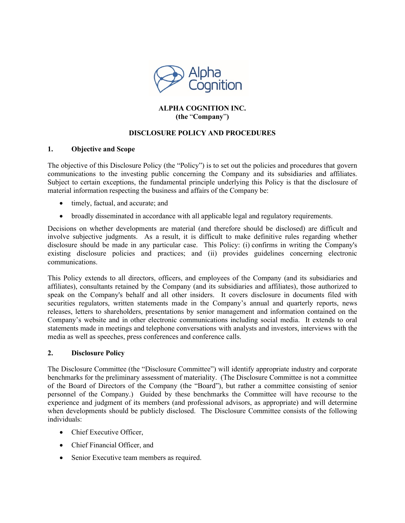

# **ALPHA COGNITION INC. (the** "**Company**"**)**

# **DISCLOSURE POLICY AND PROCEDURES**

### **1. Objective and Scope**

The objective of this Disclosure Policy (the "Policy") is to set out the policies and procedures that govern communications to the investing public concerning the Company and its subsidiaries and affiliates. Subject to certain exceptions, the fundamental principle underlying this Policy is that the disclosure of material information respecting the business and affairs of the Company be:

- timely, factual, and accurate; and
- broadly disseminated in accordance with all applicable legal and regulatory requirements.

Decisions on whether developments are material (and therefore should be disclosed) are difficult and involve subjective judgments. As a result, it is difficult to make definitive rules regarding whether disclosure should be made in any particular case. This Policy: (i) confirms in writing the Company's existing disclosure policies and practices; and (ii) provides guidelines concerning electronic communications.

This Policy extends to all directors, officers, and employees of the Company (and its subsidiaries and affiliates), consultants retained by the Company (and its subsidiaries and affiliates), those authorized to speak on the Company's behalf and all other insiders. It covers disclosure in documents filed with securities regulators, written statements made in the Company's annual and quarterly reports, news releases, letters to shareholders, presentations by senior management and information contained on the Company's website and in other electronic communications including social media. It extends to oral statements made in meetings and telephone conversations with analysts and investors, interviews with the media as well as speeches, press conferences and conference calls.

### **2. Disclosure Policy**

The Disclosure Committee (the "Disclosure Committee") will identify appropriate industry and corporate benchmarks for the preliminary assessment of materiality. (The Disclosure Committee is not a committee of the Board of Directors of the Company (the "Board"), but rather a committee consisting of senior personnel of the Company.) Guided by these benchmarks the Committee will have recourse to the experience and judgment of its members (and professional advisors, as appropriate) and will determine when developments should be publicly disclosed. The Disclosure Committee consists of the following individuals:

- Chief Executive Officer,
- Chief Financial Officer, and
- Senior Executive team members as required.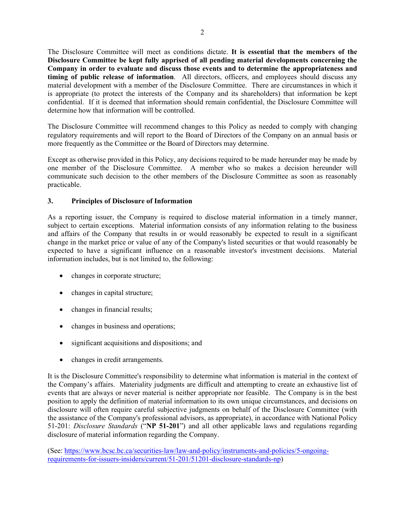The Disclosure Committee will meet as conditions dictate. **It is essential that the members of the Disclosure Committee be kept fully apprised of all pending material developments concerning the Company in order to evaluate and discuss those events and to determine the appropriateness and timing of public release of information**. All directors, officers, and employees should discuss any material development with a member of the Disclosure Committee. There are circumstances in which it is appropriate (to protect the interests of the Company and its shareholders) that information be kept confidential. If it is deemed that information should remain confidential, the Disclosure Committee will determine how that information will be controlled.

The Disclosure Committee will recommend changes to this Policy as needed to comply with changing regulatory requirements and will report to the Board of Directors of the Company on an annual basis or more frequently as the Committee or the Board of Directors may determine.

Except as otherwise provided in this Policy, any decisions required to be made hereunder may be made by one member of the Disclosure Committee. A member who so makes a decision hereunder will communicate such decision to the other members of the Disclosure Committee as soon as reasonably practicable.

## **3. Principles of Disclosure of Information**

As a reporting issuer, the Company is required to disclose material information in a timely manner, subject to certain exceptions. Material information consists of any information relating to the business and affairs of the Company that results in or would reasonably be expected to result in a significant change in the market price or value of any of the Company's listed securities or that would reasonably be expected to have a significant influence on a reasonable investor's investment decisions. Material information includes, but is not limited to, the following:

- changes in corporate structure;
- changes in capital structure;
- changes in financial results;
- changes in business and operations;
- significant acquisitions and dispositions; and
- changes in credit arrangements.

It is the Disclosure Committee's responsibility to determine what information is material in the context of the Company's affairs. Materiality judgments are difficult and attempting to create an exhaustive list of events that are always or never material is neither appropriate nor feasible. The Company is in the best position to apply the definition of material information to its own unique circumstances, and decisions on disclosure will often require careful subjective judgments on behalf of the Disclosure Committee (with the assistance of the Company's professional advisors, as appropriate), in accordance with National Policy 51-201: *Disclosure Standards* ("**NP 51-201**") and all other applicable laws and regulations regarding disclosure of material information regarding the Company.

(See: [https://www.bcsc.bc.ca/securities-law/law-and-policy/instruments-and-policies/5-ongoing](https://www.bcsc.bc.ca/securities-law/law-and-policy/instruments-and-policies/5-ongoing-requirements-for-issuers-insiders/current/51-201/51201-disclosure-standards-np)[requirements-for-issuers-insiders/current/51-201/51201-disclosure-standards-np\)](https://www.bcsc.bc.ca/securities-law/law-and-policy/instruments-and-policies/5-ongoing-requirements-for-issuers-insiders/current/51-201/51201-disclosure-standards-np)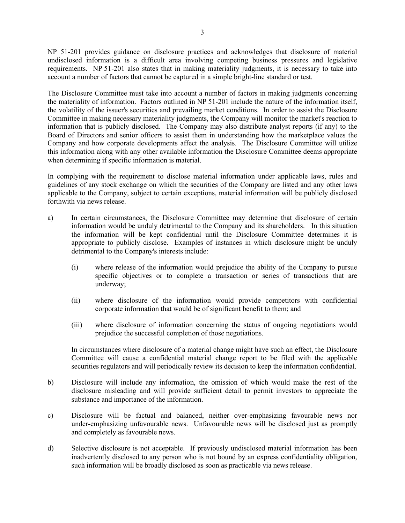NP 51-201 provides guidance on disclosure practices and acknowledges that disclosure of material undisclosed information is a difficult area involving competing business pressures and legislative requirements. NP 51-201 also states that in making materiality judgments, it is necessary to take into account a number of factors that cannot be captured in a simple bright-line standard or test.

The Disclosure Committee must take into account a number of factors in making judgments concerning the materiality of information. Factors outlined in NP 51-201 include the nature of the information itself, the volatility of the issuer's securities and prevailing market conditions. In order to assist the Disclosure Committee in making necessary materiality judgments, the Company will monitor the market's reaction to information that is publicly disclosed. The Company may also distribute analyst reports (if any) to the Board of Directors and senior officers to assist them in understanding how the marketplace values the Company and how corporate developments affect the analysis. The Disclosure Committee will utilize this information along with any other available information the Disclosure Committee deems appropriate when determining if specific information is material.

In complying with the requirement to disclose material information under applicable laws, rules and guidelines of any stock exchange on which the securities of the Company are listed and any other laws applicable to the Company, subject to certain exceptions, material information will be publicly disclosed forthwith via news release.

- a) In certain circumstances, the Disclosure Committee may determine that disclosure of certain information would be unduly detrimental to the Company and its shareholders. In this situation the information will be kept confidential until the Disclosure Committee determines it is appropriate to publicly disclose. Examples of instances in which disclosure might be unduly detrimental to the Company's interests include:
	- (i) where release of the information would prejudice the ability of the Company to pursue specific objectives or to complete a transaction or series of transactions that are underway;
	- (ii) where disclosure of the information would provide competitors with confidential corporate information that would be of significant benefit to them; and
	- (iii) where disclosure of information concerning the status of ongoing negotiations would prejudice the successful completion of those negotiations.

In circumstances where disclosure of a material change might have such an effect, the Disclosure Committee will cause a confidential material change report to be filed with the applicable securities regulators and will periodically review its decision to keep the information confidential.

- b) Disclosure will include any information, the omission of which would make the rest of the disclosure misleading and will provide sufficient detail to permit investors to appreciate the substance and importance of the information.
- c) Disclosure will be factual and balanced, neither over-emphasizing favourable news nor under-emphasizing unfavourable news. Unfavourable news will be disclosed just as promptly and completely as favourable news.
- d) Selective disclosure is not acceptable. If previously undisclosed material information has been inadvertently disclosed to any person who is not bound by an express confidentiality obligation, such information will be broadly disclosed as soon as practicable via news release.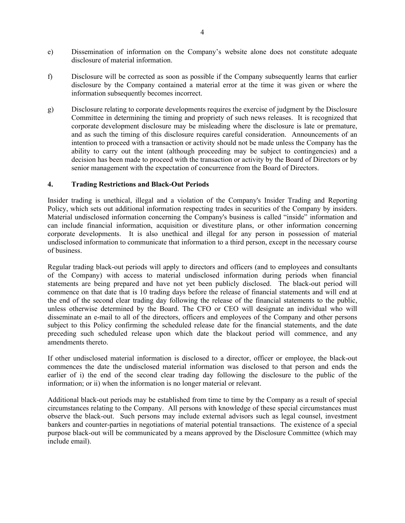- e) Dissemination of information on the Company's website alone does not constitute adequate disclosure of material information.
- f) Disclosure will be corrected as soon as possible if the Company subsequently learns that earlier disclosure by the Company contained a material error at the time it was given or where the information subsequently becomes incorrect.
- g) Disclosure relating to corporate developments requires the exercise of judgment by the Disclosure Committee in determining the timing and propriety of such news releases. It is recognized that corporate development disclosure may be misleading where the disclosure is late or premature, and as such the timing of this disclosure requires careful consideration. Announcements of an intention to proceed with a transaction or activity should not be made unless the Company has the ability to carry out the intent (although proceeding may be subject to contingencies) and a decision has been made to proceed with the transaction or activity by the Board of Directors or by senior management with the expectation of concurrence from the Board of Directors.

#### **4. Trading Restrictions and Black-Out Periods**

Insider trading is unethical, illegal and a violation of the Company's Insider Trading and Reporting Policy, which sets out additional information respecting trades in securities of the Company by insiders. Material undisclosed information concerning the Company's business is called "inside" information and can include financial information, acquisition or divestiture plans, or other information concerning corporate developments. It is also unethical and illegal for any person in possession of material undisclosed information to communicate that information to a third person, except in the necessary course of business.

Regular trading black-out periods will apply to directors and officers (and to employees and consultants of the Company) with access to material undisclosed information during periods when financial statements are being prepared and have not yet been publicly disclosed. The black-out period will commence on that date that is 10 trading days before the release of financial statements and will end at the end of the second clear trading day following the release of the financial statements to the public, unless otherwise determined by the Board. The CFO or CEO will designate an individual who will disseminate an e-mail to all of the directors, officers and employees of the Company and other persons subject to this Policy confirming the scheduled release date for the financial statements, and the date preceding such scheduled release upon which date the blackout period will commence, and any amendments thereto.

If other undisclosed material information is disclosed to a director, officer or employee, the black-out commences the date the undisclosed material information was disclosed to that person and ends the earlier of i) the end of the second clear trading day following the disclosure to the public of the information; or ii) when the information is no longer material or relevant.

Additional black-out periods may be established from time to time by the Company as a result of special circumstances relating to the Company. All persons with knowledge of these special circumstances must observe the black-out. Such persons may include external advisors such as legal counsel, investment bankers and counter-parties in negotiations of material potential transactions. The existence of a special purpose black-out will be communicated by a means approved by the Disclosure Committee (which may include email).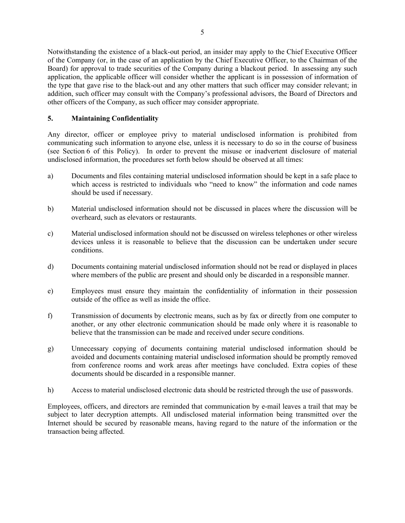Notwithstanding the existence of a black-out period, an insider may apply to the Chief Executive Officer of the Company (or, in the case of an application by the Chief Executive Officer, to the Chairman of the Board) for approval to trade securities of the Company during a blackout period. In assessing any such application, the applicable officer will consider whether the applicant is in possession of information of the type that gave rise to the black-out and any other matters that such officer may consider relevant; in addition, such officer may consult with the Company's professional advisors, the Board of Directors and other officers of the Company, as such officer may consider appropriate.

## **5. Maintaining Confidentiality**

Any director, officer or employee privy to material undisclosed information is prohibited from communicating such information to anyone else, unless it is necessary to do so in the course of business (see Section 6 of this Policy). In order to prevent the misuse or inadvertent disclosure of material undisclosed information, the procedures set forth below should be observed at all times:

- a) Documents and files containing material undisclosed information should be kept in a safe place to which access is restricted to individuals who "need to know" the information and code names should be used if necessary.
- b) Material undisclosed information should not be discussed in places where the discussion will be overheard, such as elevators or restaurants.
- c) Material undisclosed information should not be discussed on wireless telephones or other wireless devices unless it is reasonable to believe that the discussion can be undertaken under secure conditions.
- d) Documents containing material undisclosed information should not be read or displayed in places where members of the public are present and should only be discarded in a responsible manner.
- e) Employees must ensure they maintain the confidentiality of information in their possession outside of the office as well as inside the office.
- f) Transmission of documents by electronic means, such as by fax or directly from one computer to another, or any other electronic communication should be made only where it is reasonable to believe that the transmission can be made and received under secure conditions.
- g) Unnecessary copying of documents containing material undisclosed information should be avoided and documents containing material undisclosed information should be promptly removed from conference rooms and work areas after meetings have concluded. Extra copies of these documents should be discarded in a responsible manner.
- h) Access to material undisclosed electronic data should be restricted through the use of passwords.

Employees, officers, and directors are reminded that communication by e-mail leaves a trail that may be subject to later decryption attempts. All undisclosed material information being transmitted over the Internet should be secured by reasonable means, having regard to the nature of the information or the transaction being affected.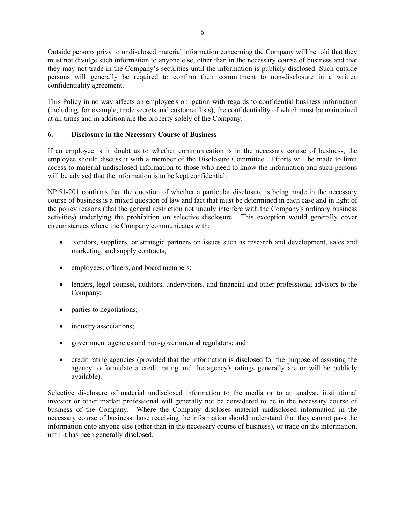Outside persons privy to undisclosed material information concerning the Company will be told that they must not divulge such information to anyone else, other than in the necessary course of business and that they may not trade in the Company's securities until the information is publicly disclosed. Such outside persons will generally be required to confirm their commitment to non-disclosure in a written confidentiality agreement.

This Policy in no way affects an employee's obligation with regards to confidential business information (including, for example, trade secrets and customer lists), the confidentiality of which must be maintained at all times and in addition are the property solely of the Company.

# **6. Disclosure in the Necessary Course of Business**

If an employee is in doubt as to whether communication is in the necessary course of business, the employee should discuss it with a member of the Disclosure Committee. Efforts will be made to limit access to material undisclosed information to those who need to know the information and such persons will be advised that the information is to be kept confidential.

NP 51-201 confirms that the question of whether a particular disclosure is being made in the necessary course of business is a mixed question of law and fact that must be determined in each case and in light of the policy reasons (that the general restriction not unduly interfere with the Company's ordinary business activities) underlying the prohibition on selective disclosure. This exception would generally cover circumstances where the Company communicates with:

- vendors, suppliers, or strategic partners on issues such as research and development, sales and marketing, and supply contracts;
- employees, officers, and board members;
- lenders, legal counsel, auditors, underwriters, and financial and other professional advisors to the Company;
- parties to negotiations;
- industry associations;
- government agencies and non-governmental regulators; and
- credit rating agencies (provided that the information is disclosed for the purpose of assisting the agency to formulate a credit rating and the agency's ratings generally are or will be publicly available).

Selective disclosure of material undisclosed information to the media or to an analyst, institutional investor or other market professional will generally not be considered to be in the necessary course of business of the Company. Where the Company discloses material undisclosed information in the necessary course of business those receiving the information should understand that they cannot pass the information onto anyone else (other than in the necessary course of business), or trade on the information, until it has been generally disclosed.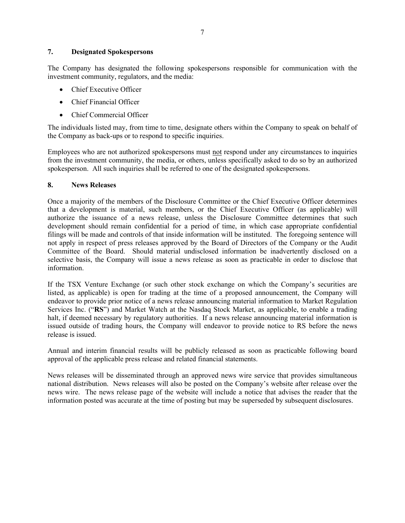## **7. Designated Spokespersons**

The Company has designated the following spokespersons responsible for communication with the investment community, regulators, and the media:

- Chief Executive Officer
- Chief Financial Officer
- Chief Commercial Officer

The individuals listed may, from time to time, designate others within the Company to speak on behalf of the Company as back-ups or to respond to specific inquiries.

Employees who are not authorized spokespersons must not respond under any circumstances to inquiries from the investment community, the media, or others, unless specifically asked to do so by an authorized spokesperson. All such inquiries shall be referred to one of the designated spokespersons.

#### **8. News Releases**

Once a majority of the members of the Disclosure Committee or the Chief Executive Officer determines that a development is material, such members, or the Chief Executive Officer (as applicable) will authorize the issuance of a news release, unless the Disclosure Committee determines that such development should remain confidential for a period of time, in which case appropriate confidential filings will be made and controls of that inside information will be instituted. The foregoing sentence will not apply in respect of press releases approved by the Board of Directors of the Company or the Audit Committee of the Board. Should material undisclosed information be inadvertently disclosed on a selective basis, the Company will issue a news release as soon as practicable in order to disclose that information.

If the TSX Venture Exchange (or such other stock exchange on which the Company's securities are listed, as applicable) is open for trading at the time of a proposed announcement, the Company will endeavor to provide prior notice of a news release announcing material information to Market Regulation Services Inc. ("**RS**") and Market Watch at the Nasdaq Stock Market, as applicable, to enable a trading halt, if deemed necessary by regulatory authorities. If a news release announcing material information is issued outside of trading hours, the Company will endeavor to provide notice to RS before the news release is issued.

Annual and interim financial results will be publicly released as soon as practicable following board approval of the applicable press release and related financial statements.

News releases will be disseminated through an approved news wire service that provides simultaneous national distribution. News releases will also be posted on the Company's website after release over the news wire. The news release page of the website will include a notice that advises the reader that the information posted was accurate at the time of posting but may be superseded by subsequent disclosures.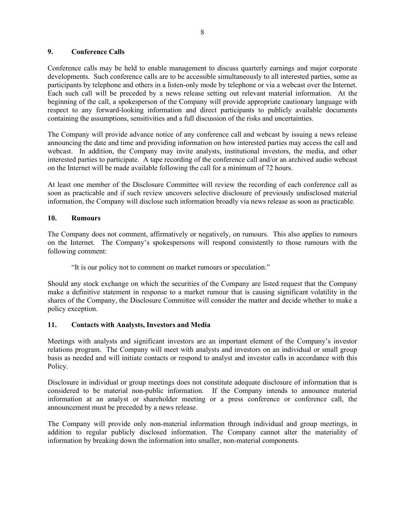### **9. Conference Calls**

Conference calls may be held to enable management to discuss quarterly earnings and major corporate developments. Such conference calls are to be accessible simultaneously to all interested parties, some as participants by telephone and others in a listen-only mode by telephone or via a webcast over the Internet. Each such call will be preceded by a news release setting out relevant material information. At the beginning of the call, a spokesperson of the Company will provide appropriate cautionary language with respect to any forward-looking information and direct participants to publicly available documents containing the assumptions, sensitivities and a full discussion of the risks and uncertainties.

The Company will provide advance notice of any conference call and webcast by issuing a news release announcing the date and time and providing information on how interested parties may access the call and webcast. In addition, the Company may invite analysts, institutional investors, the media, and other interested parties to participate. A tape recording of the conference call and/or an archived audio webcast on the Internet will be made available following the call for a minimum of 72 hours.

At least one member of the Disclosure Committee will review the recording of each conference call as soon as practicable and if such review uncovers selective disclosure of previously undisclosed material information, the Company will disclose such information broadly via news release as soon as practicable.

## **10. Rumours**

The Company does not comment, affirmatively or negatively, on rumours. This also applies to rumours on the Internet. The Company's spokespersons will respond consistently to those rumours with the following comment:

"It is our policy not to comment on market rumours or speculation."

Should any stock exchange on which the securities of the Company are listed request that the Company make a definitive statement in response to a market rumour that is causing significant volatility in the shares of the Company, the Disclosure Committee will consider the matter and decide whether to make a policy exception.

### **11. Contacts with Analysts, Investors and Media**

Meetings with analysts and significant investors are an important element of the Company's investor relations program. The Company will meet with analysts and investors on an individual or small group basis as needed and will initiate contacts or respond to analyst and investor calls in accordance with this Policy.

Disclosure in individual or group meetings does not constitute adequate disclosure of information that is considered to be material non-public information. If the Company intends to announce material information at an analyst or shareholder meeting or a press conference or conference call, the announcement must be preceded by a news release.

The Company will provide only non-material information through individual and group meetings, in addition to regular publicly disclosed information. The Company cannot alter the materiality of information by breaking down the information into smaller, non-material components.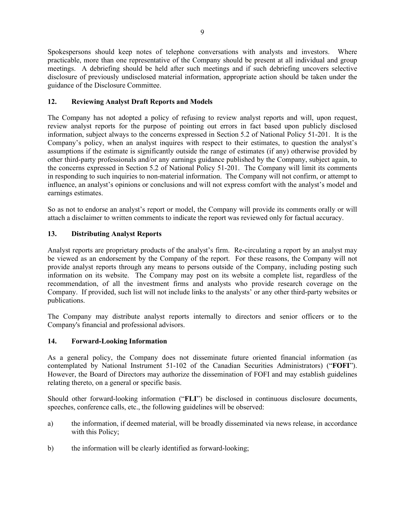Spokespersons should keep notes of telephone conversations with analysts and investors. Where practicable, more than one representative of the Company should be present at all individual and group meetings. A debriefing should be held after such meetings and if such debriefing uncovers selective disclosure of previously undisclosed material information, appropriate action should be taken under the guidance of the Disclosure Committee.

# **12. Reviewing Analyst Draft Reports and Models**

The Company has not adopted a policy of refusing to review analyst reports and will, upon request, review analyst reports for the purpose of pointing out errors in fact based upon publicly disclosed information, subject always to the concerns expressed in Section 5.2 of National Policy 51-201. It is the Company's policy, when an analyst inquires with respect to their estimates, to question the analyst's assumptions if the estimate is significantly outside the range of estimates (if any) otherwise provided by other third-party professionals and/or any earnings guidance published by the Company, subject again, to the concerns expressed in Section 5.2 of National Policy 51-201. The Company will limit its comments in responding to such inquiries to non-material information. The Company will not confirm, or attempt to influence, an analyst's opinions or conclusions and will not express comfort with the analyst's model and earnings estimates.

So as not to endorse an analyst's report or model, the Company will provide its comments orally or will attach a disclaimer to written comments to indicate the report was reviewed only for factual accuracy.

## **13. Distributing Analyst Reports**

Analyst reports are proprietary products of the analyst's firm. Re-circulating a report by an analyst may be viewed as an endorsement by the Company of the report. For these reasons, the Company will not provide analyst reports through any means to persons outside of the Company, including posting such information on its website. The Company may post on its website a complete list, regardless of the recommendation, of all the investment firms and analysts who provide research coverage on the Company. If provided, such list will not include links to the analysts' or any other third-party websites or publications.

The Company may distribute analyst reports internally to directors and senior officers or to the Company's financial and professional advisors.

### **14. Forward-Looking Information**

As a general policy, the Company does not disseminate future oriented financial information (as contemplated by National Instrument 51-102 of the Canadian Securities Administrators) ("**FOFI**"). However, the Board of Directors may authorize the dissemination of FOFI and may establish guidelines relating thereto, on a general or specific basis.

Should other forward-looking information ("**FLI**") be disclosed in continuous disclosure documents, speeches, conference calls, etc., the following guidelines will be observed:

- a) the information, if deemed material, will be broadly disseminated via news release, in accordance with this Policy;
- b) the information will be clearly identified as forward-looking;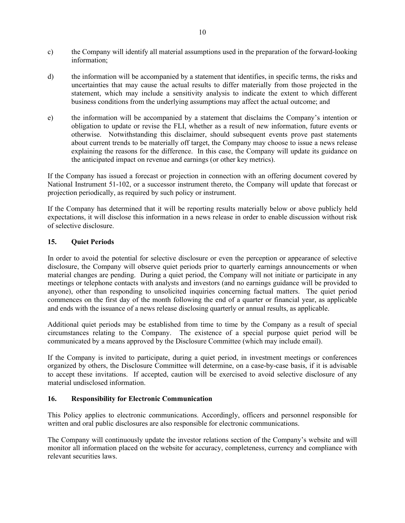- c) the Company will identify all material assumptions used in the preparation of the forward-looking information;
- d) the information will be accompanied by a statement that identifies, in specific terms, the risks and uncertainties that may cause the actual results to differ materially from those projected in the statement, which may include a sensitivity analysis to indicate the extent to which different business conditions from the underlying assumptions may affect the actual outcome; and
- e) the information will be accompanied by a statement that disclaims the Company's intention or obligation to update or revise the FLI, whether as a result of new information, future events or otherwise. Notwithstanding this disclaimer, should subsequent events prove past statements about current trends to be materially off target, the Company may choose to issue a news release explaining the reasons for the difference. In this case, the Company will update its guidance on the anticipated impact on revenue and earnings (or other key metrics).

If the Company has issued a forecast or projection in connection with an offering document covered by National Instrument 51-102, or a successor instrument thereto, the Company will update that forecast or projection periodically, as required by such policy or instrument.

If the Company has determined that it will be reporting results materially below or above publicly held expectations, it will disclose this information in a news release in order to enable discussion without risk of selective disclosure.

## **15. Quiet Periods**

In order to avoid the potential for selective disclosure or even the perception or appearance of selective disclosure, the Company will observe quiet periods prior to quarterly earnings announcements or when material changes are pending. During a quiet period, the Company will not initiate or participate in any meetings or telephone contacts with analysts and investors (and no earnings guidance will be provided to anyone), other than responding to unsolicited inquiries concerning factual matters. The quiet period commences on the first day of the month following the end of a quarter or financial year, as applicable and ends with the issuance of a news release disclosing quarterly or annual results, as applicable.

Additional quiet periods may be established from time to time by the Company as a result of special circumstances relating to the Company. The existence of a special purpose quiet period will be communicated by a means approved by the Disclosure Committee (which may include email).

If the Company is invited to participate, during a quiet period, in investment meetings or conferences organized by others, the Disclosure Committee will determine, on a case-by-case basis, if it is advisable to accept these invitations. If accepted, caution will be exercised to avoid selective disclosure of any material undisclosed information.

### **16. Responsibility for Electronic Communication**

This Policy applies to electronic communications. Accordingly, officers and personnel responsible for written and oral public disclosures are also responsible for electronic communications.

The Company will continuously update the investor relations section of the Company's website and will monitor all information placed on the website for accuracy, completeness, currency and compliance with relevant securities laws.